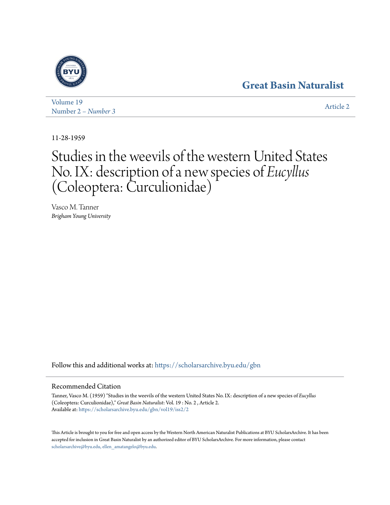## **[Great Basin Naturalist](https://scholarsarchive.byu.edu/gbn?utm_source=scholarsarchive.byu.edu%2Fgbn%2Fvol19%2Fiss2%2F2&utm_medium=PDF&utm_campaign=PDFCoverPages)**



[Volume 19](https://scholarsarchive.byu.edu/gbn/vol19?utm_source=scholarsarchive.byu.edu%2Fgbn%2Fvol19%2Fiss2%2F2&utm_medium=PDF&utm_campaign=PDFCoverPages) Number 2 *[– Number 3](https://scholarsarchive.byu.edu/gbn/vol19/iss2?utm_source=scholarsarchive.byu.edu%2Fgbn%2Fvol19%2Fiss2%2F2&utm_medium=PDF&utm_campaign=PDFCoverPages)* [Article 2](https://scholarsarchive.byu.edu/gbn/vol19/iss2/2?utm_source=scholarsarchive.byu.edu%2Fgbn%2Fvol19%2Fiss2%2F2&utm_medium=PDF&utm_campaign=PDFCoverPages)

11-28-1959

# Studies in the weevils of the western United States No. IX: description of a new species of *Eucyllus* (Coleoptera: Curculionidae)

Vasco M. Tanner *Brigham Young University*

Follow this and additional works at: [https://scholarsarchive.byu.edu/gbn](https://scholarsarchive.byu.edu/gbn?utm_source=scholarsarchive.byu.edu%2Fgbn%2Fvol19%2Fiss2%2F2&utm_medium=PDF&utm_campaign=PDFCoverPages)

### Recommended Citation

Tanner, Vasco M. (1959) "Studies in the weevils of the western United States No. IX: description of a new species of *Eucyllus* (Coleoptera: Curculionidae)," *Great Basin Naturalist*: Vol. 19 : No. 2 , Article 2. Available at: [https://scholarsarchive.byu.edu/gbn/vol19/iss2/2](https://scholarsarchive.byu.edu/gbn/vol19/iss2/2?utm_source=scholarsarchive.byu.edu%2Fgbn%2Fvol19%2Fiss2%2F2&utm_medium=PDF&utm_campaign=PDFCoverPages)

This Article is brought to you for free and open access by the Western North American Naturalist Publications at BYU ScholarsArchive. It has been accepted for inclusion in Great Basin Naturalist by an authorized editor of BYU ScholarsArchive. For more information, please contact [scholarsarchive@byu.edu, ellen\\_amatangelo@byu.edu.](mailto:scholarsarchive@byu.edu,%20ellen_amatangelo@byu.edu)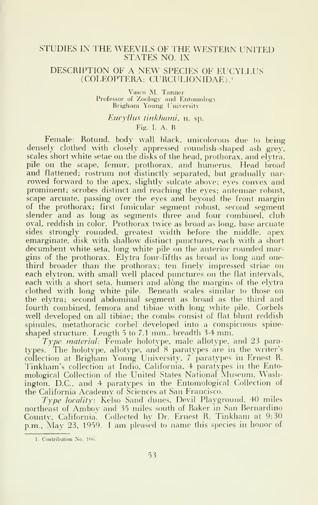#### STUDIES IN THE WEEVILS OF THE WESTERN UNITED STATES NO. IX

#### DESCRIPTION OF A NEW SPECIES OF EUCYLLUS (COLEOPTERA: CURCULIONIDAE).'

Vasco M. Tanner Professor of Zoology and Entomology Brigham Young University

#### Eucyllus tinkhami. u. sp.  $Fig. I. A. B$

Female: Rotund, body wall black, unicolorous due to being densely clothed with closely appressed roundish-shaped ash grey, scales short white setae on the disks of the head, prothorax, and elytra, pile on the scape, femur, prothorax. and humerus. Head broad and flattened; rostrum not distinctly separated, but gradually narrowed forward to the apex, slightly sulcate above; eyes convex and prominent; scrobes distinct and reaching the eyes; antennae robust, scape arcuate, passing over the eyes and beyond the front margin of the prothorax; first funicular segment robust, second segment slender and as long as segments three and four combined, club oval, reddish in color. Prothorax twice as broad as long, base arcuate sides strongly rounded, greatest width before the middle, apex emarginate. disk with shallow distinct punctures, each with a short decumbent white seta, long white pile on the anterior rounded margins of the prothorax. Elytra four-fifths as broad as long and onethird broader than the prothorax; ten finely impressed striae on each elytron, with small well placed punctures on the flat intervals, each with a short seta, humeri and along the margins of the elytra clothed with long white pile. Beneath scales similar to those on the elytra; second abdominal segment as broad as the third and fourth combined, femora and tibiae with long white pile. Corbels well developed on all tibiae; the combs consist of flat blunt reddish spinules. metathoracic corbel developed into a conspicuous spineshaped structure. Length  $5$  to  $7.1$  mm. breadth  $3.4$  mm.

Type material: Female holotype, male allotype, and 23 paratypes. The holotype. allotype, and 8 paratypes are in the writer's collection at Brigham Young University. <sup>7</sup> paratypes in Ernest R. 'I'inkham's collection at Indio, California. 4 paratypes in the Entomological Collection of the United States National Museum. Washington. D.C.. and 4 paratypes in the Entomological Collection of the California Academy of Sciences at San Francisco.

Type locality: Kelso Sand dunes. Devil Playground, 40 miles northeast of Amboy and <sup>35</sup> miles south of Baker in San Bernardino County. (California. Collected by Dr. Ernest R. Tinkham at 9:30 p.m., May 23, 1959. I am pleased to name this species in honor of

<sup>1.</sup> Contribution No. 166.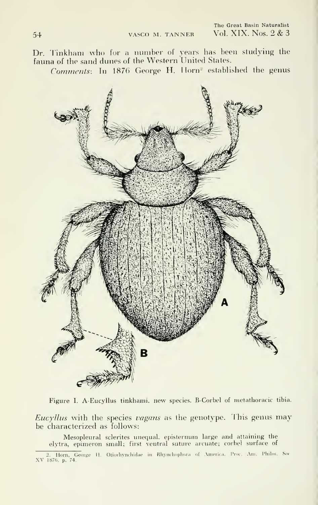Dr. Tinkham who for a number of years has been studying the fauna of the sand dunes of the Western United States.

Comments: In 1876 George H. Horn<sup>2</sup> established the genus



Figure I. A-Eucyllus tinkhami, new species. B-Corbel of metathoracic tibia.

Eucyllus with the species vagans as the genotype. This genus may be characterized as follows:

Mesopleural sclerites unequal, episternum large and attaining the elytra, epimeron small; first ventral suture arcuate; corbel surface of

<sup>2.</sup> Horn, George H. Otiorhynchidae in Rhynchophora of America. Proc. Am. Philos. Soc XV 1876, p. 74.